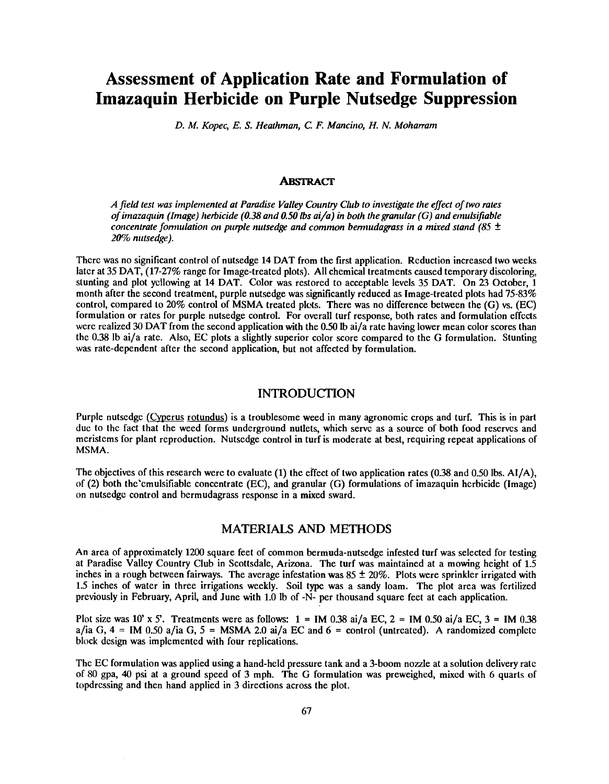# Assessment of Application Rate and Formulation of Imazaquin Herbicide on Purple Nutsedge Suppression

D. M. Kopec, E. S. Heathman, C. F. Mancino, H. N. Moharram

#### **ABSTRACT**

A field test was implemented at Paradise Valley Country Club to investigate the effect of two rates of imazaquin (Image) herbicide (0.38 and 0.50 lbs ai/a) in both the granular (G) and emulsifiable concentrate formulation on purple nutsedge and common bermudagrass in a mixed stand (85  $\pm$ 20% nutsedge).

There was no significant control of nutsedge 14 DAT from the first application. Reduction increased two weeks later at 35 DAT, (17-27% range for Image-treated plots). All chemical treatments caused temporary discoloring, stunting and plot yellowing at 14 DAT. Color was restored to acceptable levels 35 DAT. On 23 October, 1 month after the second treatment, purple nutsedge was significantly reduced as Image-treated plots had 75-83% control, compared to 20% control of MSMA treated plots. There was no difference between the (G) vs. (EC) formulation or rates for purple nutsedge control. For overall turf response, both rates and formulation effects were realized 30 DAT from the second application with the 0.50 lb ai/a rate having lower mean color scores than the 0.38 lb ai/a rate. Also, EC plots a slightly superior color score compared to the G formulation. Stunting was rate -dependent after the second application, but not affected by formulation.

#### INTRODUCTION

Purple nutsedge (Cyperus rotundus) is a troublesome weed in many agronomic crops and turf. This is in part due to the fact that the weed forms underground nutlets, which serve as a source of both food reserves and meristems for plant reproduction. Nutsedge control in turf is moderate at best, requiring repeat applications of MSMA.

The objectives of this research were to evaluate (1) the effect of two application rates (0.38 and 0.50 lbs. AI /A), of (2) both the'emulsifiable concentrate (EC), and granular (G) formulations of imazaquin herbicide (Image) on nutsedge control and bermudagrass response in a mixed sward.

#### MATERIALS AND METHODS

An area of approximately 1200 square feet of common bermuda- nutsedge infested turf was selected for testing at Paradise Valley Country Club in Scottsdale, Arizona. The turf was maintained at a mowing height of 1.5 inches in a rough between fairways. The average infestation was  $85 \pm 20\%$ . Plots were sprinkler irrigated with 1.5 inches of water in three irrigations weekly. Soil type was a sandy loam. The plot area was fertilized previously in February, April, and June with 1.0 lb of -N- per thousand square feet at each application.

Plot size was 10' x 5'. Treatments were as follows:  $1 = IM$  0.38 ai/a EC,  $2 = IM$  0.50 ai/a EC,  $3 = IM$  0.38 a/ia G,  $4 = IM$  0.50 a/ia G,  $5 = MSMA$  2.0 ai/a EC and  $6 =$  control (untreated). A randomized complete block design was implemented with four replications.

The EC formulation was applied using a hand -held pressure tank and a 3 -boom nozzle at a solution delivery rate of 80 gpa, 40 psi at a ground speed of 3 mph. The G formulation was preweighed, mixed with 6 quarts of topdressing and then hand applied in 3 directions across the plot.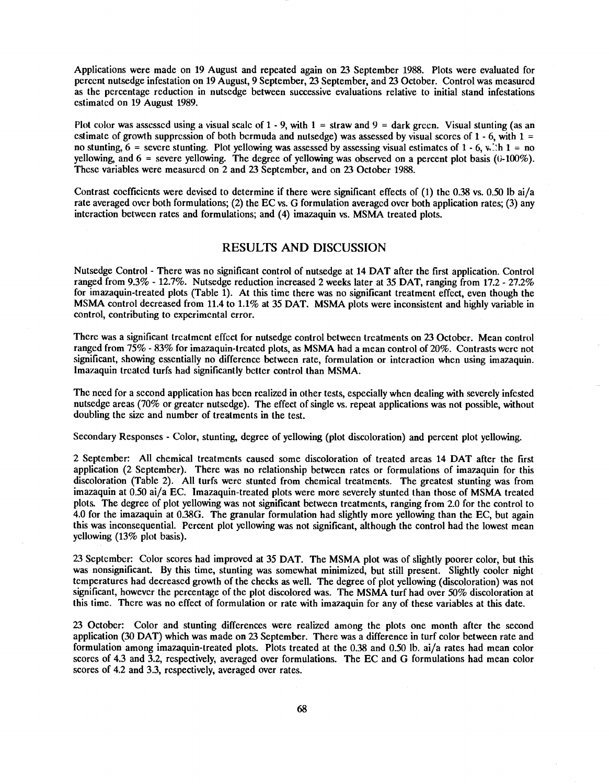Applications were made on 19 August and repeated again on 23 September 1988. Plots were evaluated for percent nutsedge infestation on 19 August, 9 September, 23 September, and 23 October. Control was measured as the percentage reduction in nutsedge between successive evaluations relative to initial stand infestations estimated on 19 August 1989.

Plot color was assessed using a visual scale of  $1 - 9$ , with  $1 =$  straw and  $9 =$  dark green. Visual stunting (as an estimate of growth suppression of both bermuda and nutsedge) was assessed by visual scores of  $1 - 6$ , with  $1 =$ no stunting,  $6 =$  severe stunting. Plot yellowing was assessed by assessing visual estimates of 1 - 6, with 1 = no yellowing, and  $6 =$  severe yellowing. The degree of yellowing was observed on a percent plot basis (0-100%). These variables were measured on 2 and 23 September, and on 23 October 1988.

Contrast coefficients were devised to determine if there were significant effects of  $(1)$  the 0.38 vs. 0.50 lb ai/a rate averaged over both formulations; (2) the EC vs. G formulation averaged over both application rates; (3) any interaction between rates and formulations; and (4) imazaquin vs. MSMA treated plots.

### RESULTS AND DISCUSSION

Nutsedge Control - There was no significant control of nutsedge at 14 DAT after the first application. Control ranged from  $9.3\%$  - 12.7%. Nutsedge reduction increased 2 weeks later at 35 DAT, ranging from 17.2 - 27.2% for imazaquin-treated plots (Table 1). At this time there was no significant treatment effect, even though the MSMA control decreased from 11.4 to 1.1% at 35 DAT. MSMA plots were inconsistent and highly variable in control, contributing to experimental error.

There was a significant treatment effect for nutsedge control between treatments on 23 October. Mean control ranged from 75% - 83% for imazaquin-treated plots, as MSMA had a mean control of 20%. Contrasts were not significant, showing essentially no difference between rate, formulation or interaction when using imazaquin. Imazaquin treated turfs had significantly better control than MSMA.

The need for a second application has been realized in other tests, especially when dealing with severely infested nutsedge areas (70% or greater nutsedge). The effect of single vs. repeat applications was not possible, without doubling the size and number of treatments in the test.

Secondary Responses - Color, stunting, degree of yellowing (plot discoloration) and percent plot yellowing.

2 September: All chemical treatments caused some discoloration of treated areas 14 DAT after the first application (2 September). There was no relationship between rates or formulations of imazaquin for this discoloration (Table 2). All turfs were stunted from chemical treatments. The greatest stunting was from imazaquin at 0.50 ai/a EC. Imazaquin-treated plots were more severely stunted than those of MSMA treated plots. The degree of plot yellowing was not significant between treatments, ranging from 2.0 for the control to 4.0 for the imazaquin at 0.38G. The granular formulation had slightly more yellowing than the EC, but again this was inconsequential. Percent plot yellowing was not significant, although the control had the lowest mean yellowing (13% plot basis).

23 September: Color scores had improved at 35 DAT. The MSMA plot was of slightly poorer color, but this was nonsignificant. By this time, stunting was somewhat minimized, but still present. Slightly cooler night temperatures had decreased growth of the checks as well. The degree of plot yellowing (discoloration) was not significant, however the percentage of the plot discolored was. The MSMA turf had over 50% discoloration at this time. There was no effect of formulation or rate with imazaquin for any of these variables at this date.

23 October: Color and stunting differences were realized among the plots one month after the second application (30 DAT) which was made on 23 September. There was a difference in turf color between rate and formulation among imazaquin-treated plots. Plots treated at the 0.38 and 0.50 lb. ai/a rates had mean color scores of 4.3 and 3.2, respectively, averaged over formulations. The EC and G formulations had mean color scores of 4.2 and 3.3, respectively, averaged over rates.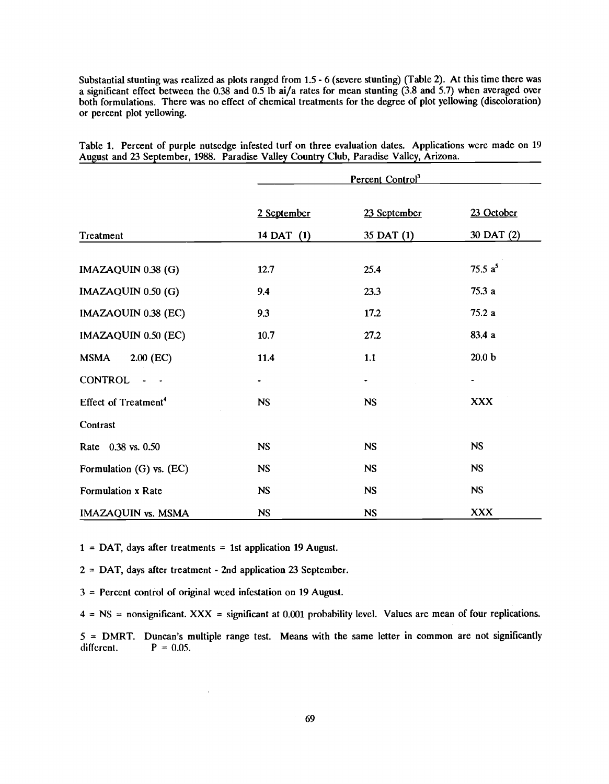Substantial stunting was realized as plots ranged from 15 - 6 (severe stunting) (Table 2). At this time there was a significant effect between the 0.38 and 0.5 lb ai/a rates for mean stunting  $(3.8 \text{ and } 5.7)$  when averaged over both formulations. There was no effect of chemical treatments for the degree of plot yellowing (discoloration) or percent plot yellowing.

|                                  |             | Percent Control <sup>3</sup> |                   |
|----------------------------------|-------------|------------------------------|-------------------|
|                                  | 2 September | 23 September                 | 23 October        |
| Treatment                        | 14 DAT (1)  | 35 DAT (1)                   | 30 DAT (2)        |
| IMAZAQUIN 0.38 (G)               | 12.7        | 25.4                         | 75.5 $a^5$        |
| IMAZAQUIN 0.50 (G)               | 9.4         | 23.3                         | 75.3a             |
| IMAZAQUIN 0.38 (EC)              | 9.3         | 17.2                         | 75.2a             |
| IMAZAQUIN 0.50 (EC)              | 10.7        | 27.2                         | 83.4 a            |
| $2.00$ (EC)<br><b>MSMA</b>       | 11.4        | 1.1                          | 20.0 <sub>b</sub> |
| <b>CONTROL</b>                   | ۰           |                              |                   |
| Effect of Treatment <sup>4</sup> | <b>NS</b>   | <b>NS</b>                    | <b>XXX</b>        |
| Contrast                         |             |                              |                   |
| Rate 0.38 vs. 0.50               | <b>NS</b>   | <b>NS</b>                    | <b>NS</b>         |
| Formulation (G) vs. (EC)         | <b>NS</b>   | <b>NS</b>                    | <b>NS</b>         |
| Formulation x Rate               | NS          | <b>NS</b>                    | <b>NS</b>         |
| <b>IMAZAQUIN vs. MSMA</b>        | <b>NS</b>   | <b>NS</b>                    | <b>XXX</b>        |

Table 1. Percent of purple nutsedge infested turf on three evaluation dates. Applications were made on 19 August and 23 September, 1988. Paradise Valley Country Club, Paradise Valley, Arizona.

 $1 = \text{DAT}$ , days after treatments = 1st application 19 August.

2 = DAT, days after treatment - 2nd application 23 September.

3 = Percent control of original weed infestation on 19 August.

 $4 = NS =$  nonsignificant. XXX = significant at 0.001 probability level. Values are mean of four replications.

 $5 =$  DMRT. Duncan's multiple range test. Means with the same letter in common are not significantly different.  $P = 0.05$ .  $P = 0.05$ .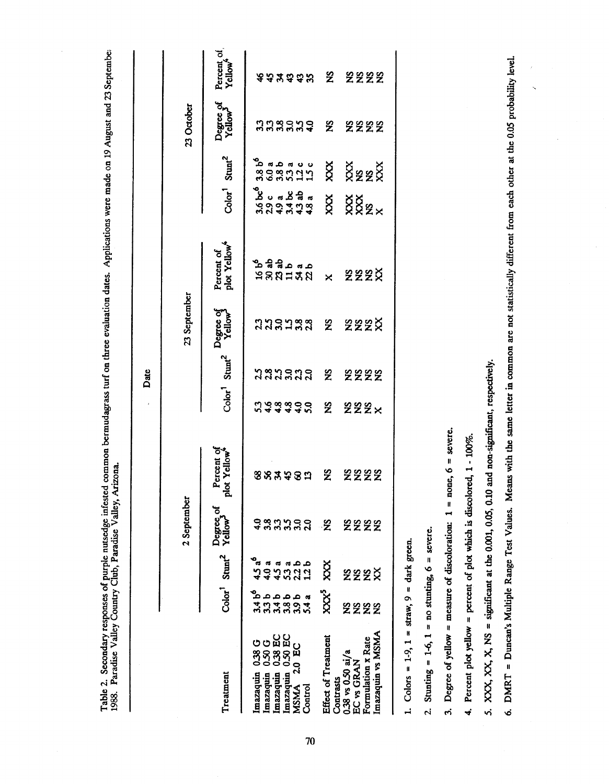Table 2. Secondary responses of purple nusedge infested common bermudagrass turf on three evaluation dates. Applications were made on 19 August and 23 Septembe:<br>1988. Paradise Valley Country Club, Paradise Valley, Arizona.

| Color <sup>1</sup> Stunt <sup>2</sup><br>$\begin{array}{c} \texttt{3}\ \texttt{5}\ \texttt{8}\ \texttt{9}\ \texttt{1}\ \texttt{1}\ \texttt{2}\ \texttt{3}\ \texttt{3}\ \texttt{4}\ \texttt{5}\ \texttt{6}\ \texttt{7}\ \texttt{8}\ \texttt{9}\ \texttt{1}\ \texttt{1}\ \texttt{1}\ \texttt{2}\ \texttt{1}\ \texttt{3}\ \texttt{1}\ \texttt{2}\ \texttt{1}\ \texttt{3}\ \texttt{1}\ \texttt{2}\ \texttt{1}\ \texttt{2}\ \texttt{1}\ \texttt{2}\ \texttt{1}\ \texttt{2}\ \texttt{2}\ \texttt{3}\ \texttt$<br><b>XXXXXX</b><br>ಲಿ<br>ಎಂ. ನ ಸೆ ನ ನ<br>ನ ನ ನ ಸೆ ಗ ಸೆ<br>ನ ನ ಕ ನ ಕ ಕ<br>XXX<br>882×<br>Percent of<br>plot Yellow <sup>4</sup><br>$38822$<br>$38827$<br>23 September<br>Color <sup>1</sup> Stunt <sup>2</sup> Pegree of<br><b>333333 2 222X</b><br><b>ນິສມິສມິ</b> ສ<br>2 2222<br>n 4 4 4 4 4 5<br>$\mathbf{z}$<br><b>222×</b><br>Percent of<br>Mot Yellow <sup>4</sup><br>$\mathbf{z}$<br>2222<br>883982<br>ъ,<br>2 September<br>Degree of<br>Color <sup>1</sup> Stunt <sup>2</sup> Yellow <sup>3</sup><br>ž<br><b>2222</b><br>4.5 a°<br>a a a b b<br>O V M V V<br>d A W V H<br>$\chi$<br>222¤<br>$\begin{array}{c} \texttt{1}\ \texttt{2}\ \texttt{3}\ \texttt{4}\ \texttt{5}\ \texttt{5}\ \texttt{6}\ \texttt{7}\ \texttt{8}\ \texttt{9}\ \texttt{9}\ \texttt{1}\ \texttt{9}\ \texttt{1}\ \texttt{1}\ \texttt{1}\ \texttt{2}\ \texttt{2}\ \texttt{2}\ \texttt{3}\ \texttt{1}\ \texttt{2}\ \texttt{2}\ \texttt{3}\ \texttt{3}\ \texttt{4}\ \texttt{4}\ \texttt{5}\ \texttt{6}\ \texttt{6}\ \texttt{7}\ \texttt{7}\ \texttt{8}\ \texttt{8}\ \texttt{9}\ \texttt$<br>$XX^5$<br><b>2222</b><br>Imazaquin vs MSMA<br>0.38 EC<br>Imazaquin 0.50 EC<br>Effect of Treatment<br>Formulation x Rate<br>Imazaquin 0.38 G<br>Imazaquin 0.50 G<br>2.0 EC<br>$0.38$ vs $0.50$ ai/a<br>EC vs GRAN<br>Imazaquin<br>Imazaquin<br>Treatment<br>Contrasts<br><b>MSMA</b><br>$\mathop{\mathrm{Control}}$ |  |                                                         |
|--------------------------------------------------------------------------------------------------------------------------------------------------------------------------------------------------------------------------------------------------------------------------------------------------------------------------------------------------------------------------------------------------------------------------------------------------------------------------------------------------------------------------------------------------------------------------------------------------------------------------------------------------------------------------------------------------------------------------------------------------------------------------------------------------------------------------------------------------------------------------------------------------------------------------------------------------------------------------------------------------------------------------------------------------------------------------------------------------------------------------------------------------------------------------------------------------------------------------------------------------------------------------------------------------------------------------------------------------------------------------------------------------------------------------------------------------------------------------------------------------------------------------------------------------------------------------------------------------------------------------------------------------------------------------------------------------------------------------------------------------------------------------------------------------------------------------------------------------------------------------------------------------|--|---------------------------------------------------------|
|                                                                                                                                                                                                                                                                                                                                                                                                                                                                                                                                                                                                                                                                                                                                                                                                                                                                                                                                                                                                                                                                                                                                                                                                                                                                                                                                                                                                                                                                                                                                                                                                                                                                                                                                                                                                                                                                                                  |  | 23 October                                              |
|                                                                                                                                                                                                                                                                                                                                                                                                                                                                                                                                                                                                                                                                                                                                                                                                                                                                                                                                                                                                                                                                                                                                                                                                                                                                                                                                                                                                                                                                                                                                                                                                                                                                                                                                                                                                                                                                                                  |  | Percent of<br>Yellow*<br>Degree of<br>Yellow            |
|                                                                                                                                                                                                                                                                                                                                                                                                                                                                                                                                                                                                                                                                                                                                                                                                                                                                                                                                                                                                                                                                                                                                                                                                                                                                                                                                                                                                                                                                                                                                                                                                                                                                                                                                                                                                                                                                                                  |  |                                                         |
|                                                                                                                                                                                                                                                                                                                                                                                                                                                                                                                                                                                                                                                                                                                                                                                                                                                                                                                                                                                                                                                                                                                                                                                                                                                                                                                                                                                                                                                                                                                                                                                                                                                                                                                                                                                                                                                                                                  |  |                                                         |
|                                                                                                                                                                                                                                                                                                                                                                                                                                                                                                                                                                                                                                                                                                                                                                                                                                                                                                                                                                                                                                                                                                                                                                                                                                                                                                                                                                                                                                                                                                                                                                                                                                                                                                                                                                                                                                                                                                  |  |                                                         |
|                                                                                                                                                                                                                                                                                                                                                                                                                                                                                                                                                                                                                                                                                                                                                                                                                                                                                                                                                                                                                                                                                                                                                                                                                                                                                                                                                                                                                                                                                                                                                                                                                                                                                                                                                                                                                                                                                                  |  |                                                         |
|                                                                                                                                                                                                                                                                                                                                                                                                                                                                                                                                                                                                                                                                                                                                                                                                                                                                                                                                                                                                                                                                                                                                                                                                                                                                                                                                                                                                                                                                                                                                                                                                                                                                                                                                                                                                                                                                                                  |  |                                                         |
|                                                                                                                                                                                                                                                                                                                                                                                                                                                                                                                                                                                                                                                                                                                                                                                                                                                                                                                                                                                                                                                                                                                                                                                                                                                                                                                                                                                                                                                                                                                                                                                                                                                                                                                                                                                                                                                                                                  |  |                                                         |
|                                                                                                                                                                                                                                                                                                                                                                                                                                                                                                                                                                                                                                                                                                                                                                                                                                                                                                                                                                                                                                                                                                                                                                                                                                                                                                                                                                                                                                                                                                                                                                                                                                                                                                                                                                                                                                                                                                  |  | <b>&amp;&amp;¥&amp;&amp;%</b> S<br><b>338888 2 2222</b> |
|                                                                                                                                                                                                                                                                                                                                                                                                                                                                                                                                                                                                                                                                                                                                                                                                                                                                                                                                                                                                                                                                                                                                                                                                                                                                                                                                                                                                                                                                                                                                                                                                                                                                                                                                                                                                                                                                                                  |  |                                                         |
|                                                                                                                                                                                                                                                                                                                                                                                                                                                                                                                                                                                                                                                                                                                                                                                                                                                                                                                                                                                                                                                                                                                                                                                                                                                                                                                                                                                                                                                                                                                                                                                                                                                                                                                                                                                                                                                                                                  |  |                                                         |
|                                                                                                                                                                                                                                                                                                                                                                                                                                                                                                                                                                                                                                                                                                                                                                                                                                                                                                                                                                                                                                                                                                                                                                                                                                                                                                                                                                                                                                                                                                                                                                                                                                                                                                                                                                                                                                                                                                  |  |                                                         |
|                                                                                                                                                                                                                                                                                                                                                                                                                                                                                                                                                                                                                                                                                                                                                                                                                                                                                                                                                                                                                                                                                                                                                                                                                                                                                                                                                                                                                                                                                                                                                                                                                                                                                                                                                                                                                                                                                                  |  | <b>2222</b>                                             |

b

2. Stunting = 1-6, 1 = no stunting,  $6 =$  severe.

3. Degree of yellow = measure of discoloration:  $1 = \text{none}$ ,  $6 = \text{severe}$ .

4. Percent plot yellow = percent of plot which is discolored, 1 - 100%.

5. XXX, XX, X, NS = significant at the 0.001, 0.05, 0.10 and non-significant, respectively.

6. DMRT = Duncan's Multiple Range Test Values. Means with the same letter in common are not statistically different from each other at the 0.05 probability level.